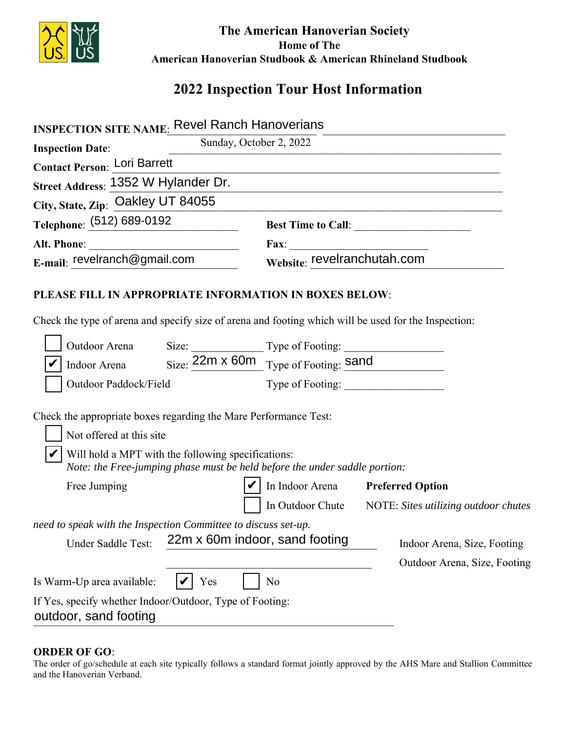

## **The American Hanoverian Society Home of The American Hanoverian Studbook & American Rhineland Studbook**

# **2022 Inspection Tour Host Information**

| <b>INSPECTION SITE NAME: Revel Ranch Hanoverians</b>                                                                                                                                                                             |                                                                                              |
|----------------------------------------------------------------------------------------------------------------------------------------------------------------------------------------------------------------------------------|----------------------------------------------------------------------------------------------|
| Sunday, October 2, 2022<br><b>Inspection Date:</b>                                                                                                                                                                               |                                                                                              |
| <b>Contact Person: Lori Barrett</b>                                                                                                                                                                                              |                                                                                              |
| Street Address: 1352 W Hylander Dr.                                                                                                                                                                                              |                                                                                              |
| City, State, Zip: Oakley UT 84055                                                                                                                                                                                                |                                                                                              |
| Telephone: (512) 689-0192                                                                                                                                                                                                        |                                                                                              |
|                                                                                                                                                                                                                                  |                                                                                              |
| E-mail: revelranch@gmail.com                                                                                                                                                                                                     | Fax: Website: revelranchutah.com                                                             |
| PLEASE FILL IN APPROPRIATE INFORMATION IN BOXES BELOW:<br>Check the type of arena and specify size of arena and footing which will be used for the Inspection:                                                                   |                                                                                              |
| Outdoor Arena                                                                                                                                                                                                                    | Size: <u>22m x 60m</u> Type of Footing: <u>Sand</u><br>Size: 22m x 60m Type of Footing: Sand |
| Indoor Arena                                                                                                                                                                                                                     |                                                                                              |
| Outdoor Paddock/Field                                                                                                                                                                                                            |                                                                                              |
| Check the appropriate boxes regarding the Mare Performance Test:<br>Not offered at this site<br>Will hold a MPT with the following specifications:<br>Note: the Free-jumping phase must be held before the under saddle portion: |                                                                                              |
| Free Jumping                                                                                                                                                                                                                     | In Indoor Arena Preferred Option                                                             |
|                                                                                                                                                                                                                                  | In Outdoor Chute NOTE: Sites utilizing outdoor chutes                                        |
| need to speak with the Inspection Committee to discuss set-up.<br>22m x 60m indoor, sand footing<br>Under Saddle Test:                                                                                                           | Indoor Arena, Size, Footing<br>Outdoor Arena, Size, Footing                                  |
| Is Warm-Up area available:<br>Yes                                                                                                                                                                                                | N <sub>o</sub>                                                                               |
| If Yes, specify whether Indoor/Outdoor, Type of Footing:<br>outdoor, sand footing                                                                                                                                                |                                                                                              |

#### **ORDER OF GO**:

The order of go/schedule at each site typically follows a standard format jointly approved by the AHS Mare and Stallion Committee and the Hanoverian Verband.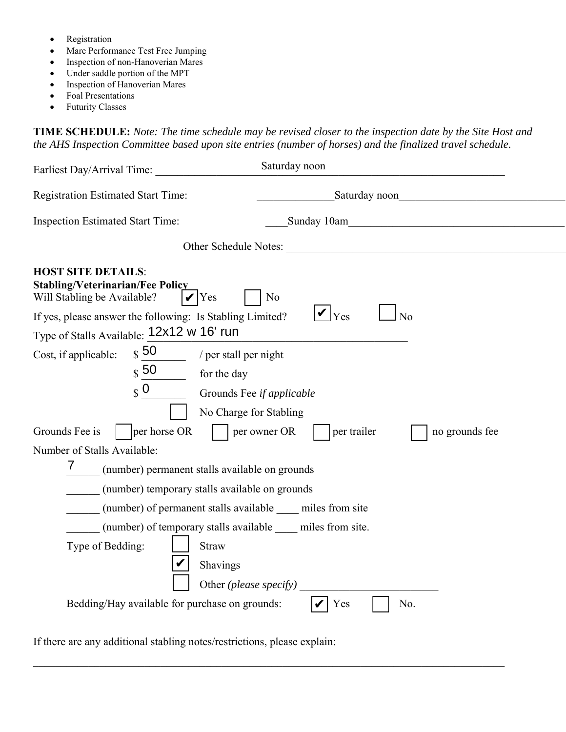- Registration
- Mare Performance Test Free Jumping
- Inspection of non-Hanoverian Mares
- Under saddle portion of the MPT
- Inspection of Hanoverian Mares
- Foal Presentations
- Futurity Classes

**TIME SCHEDULE:** *Note: The time schedule may be revised closer to the inspection date by the Site Host and the AHS Inspection Committee based upon site entries (number of horses) and the finalized travel schedule.* 

| Earliest Day/Arrival Time:                                                                                       | Saturday noon                                                |  |  |  |
|------------------------------------------------------------------------------------------------------------------|--------------------------------------------------------------|--|--|--|
| <b>Registration Estimated Start Time:</b>                                                                        | Saturday noon                                                |  |  |  |
| <b>Inspection Estimated Start Time:</b>                                                                          | Sunday 10am                                                  |  |  |  |
|                                                                                                                  |                                                              |  |  |  |
| <b>HOST SITE DETAILS:</b><br><b>Stabling/Veterinarian/Fee Policy</b><br>Will Stabling be Available?<br>$ V $ Yes | N <sub>0</sub>                                               |  |  |  |
| If yes, please answer the following: Is Stabling Limited?                                                        | $\bigvee$ <sub>Yes</sub><br>No                               |  |  |  |
| Type of Stalls Available: 12x12 w 16' run                                                                        |                                                              |  |  |  |
| $\boldsymbol{\mathfrak{s}}$ 50<br>Cost, if applicable:                                                           | $\frac{1}{\sqrt{2}}$ / per stall per night                   |  |  |  |
| $\sqrt{50}$                                                                                                      | for the day                                                  |  |  |  |
| $\sqrt{\frac{1}{\sqrt{1}}}$                                                                                      | Grounds Fee if applicable                                    |  |  |  |
|                                                                                                                  | No Charge for Stabling                                       |  |  |  |
| Grounds Fee is<br>per horse OR<br>per owner OR<br>per trailer<br>no grounds fee                                  |                                                              |  |  |  |
| Number of Stalls Available:                                                                                      |                                                              |  |  |  |
| 7<br>(number) permanent stalls available on grounds                                                              |                                                              |  |  |  |
| (number) temporary stalls available on grounds                                                                   |                                                              |  |  |  |
|                                                                                                                  | (number) of permanent stalls available _____ miles from site |  |  |  |
|                                                                                                                  | (number) of temporary stalls available miles from site.      |  |  |  |
| Type of Bedding:<br><b>Straw</b>                                                                                 |                                                              |  |  |  |
|                                                                                                                  | Shavings                                                     |  |  |  |
|                                                                                                                  | Other (please specify)                                       |  |  |  |
| Bedding/Hay available for purchase on grounds:                                                                   | No.<br>Yes                                                   |  |  |  |
|                                                                                                                  |                                                              |  |  |  |

 $\_$  ,  $\_$  ,  $\_$  ,  $\_$  ,  $\_$  ,  $\_$  ,  $\_$  ,  $\_$  ,  $\_$  ,  $\_$  ,  $\_$  ,  $\_$  ,  $\_$  ,  $\_$  ,  $\_$  ,  $\_$  ,  $\_$  ,  $\_$  ,  $\_$  ,  $\_$  ,  $\_$  ,  $\_$  ,  $\_$  ,  $\_$  ,  $\_$  ,  $\_$  ,  $\_$  ,  $\_$  ,  $\_$  ,  $\_$  ,  $\_$  ,  $\_$  ,  $\_$  ,  $\_$  ,  $\_$  ,  $\_$  ,  $\_$  ,

If there are any additional stabling notes/restrictions, please explain: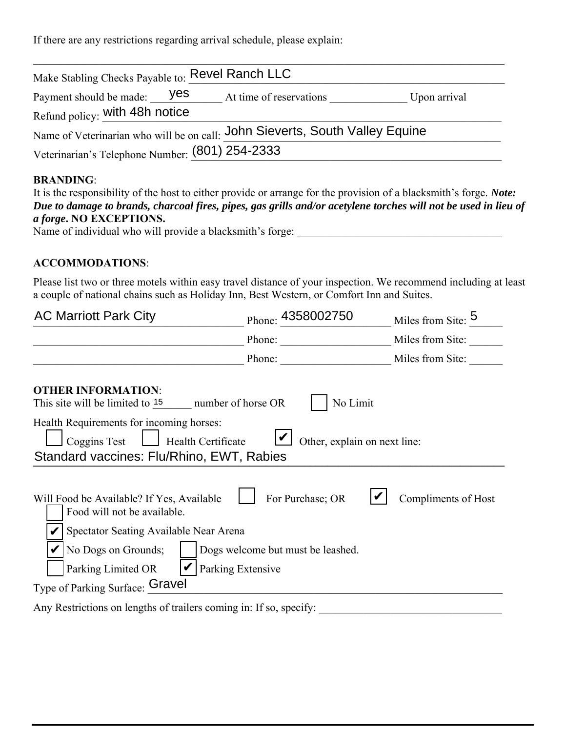If there are any restrictions regarding arrival schedule, please explain:

| Make Stabling Checks Payable to: Revel Ranch LLC              |                                                                              |              |
|---------------------------------------------------------------|------------------------------------------------------------------------------|--------------|
| Payment should be made: yes<br>Refund policy: with 48h notice | At time of reservations                                                      | Upon arrival |
|                                                               | Name of Veterinarian who will be on call: John Sieverts, South Valley Equine |              |
| Veterinarian's Telephone Number: (801) 254-2333               |                                                                              |              |

### **BRANDING**:

| It is the responsibility of the host to either provide or arrange for the provision of a blacksmith's forge. <i>Note:</i> |  |
|---------------------------------------------------------------------------------------------------------------------------|--|
| Due to damage to brands, charcoal fires, pipes, gas grills and/or acetylene torches will not be used in lieu of           |  |
| <i>a forge.</i> NO EXCEPTIONS.                                                                                            |  |

Name of individual who will provide a blacksmith's forge: \_\_\_\_\_\_\_\_\_\_\_\_\_\_\_\_\_\_\_\_\_\_\_\_\_\_\_\_\_\_\_\_\_\_\_\_\_

#### **ACCOMMODATIONS**:

Please list two or three motels within easy travel distance of your inspection. We recommend including at least a couple of national chains such as Holiday Inn, Best Western, or Comfort Inn and Suites.

| <b>AC Marriott Park City</b>                                                                                                                                    | Phone: 4358002750                                                          | Miles from Site: 5  |
|-----------------------------------------------------------------------------------------------------------------------------------------------------------------|----------------------------------------------------------------------------|---------------------|
|                                                                                                                                                                 | Phone:                                                                     | Miles from Site:    |
|                                                                                                                                                                 | Phone:                                                                     | Miles from Site:    |
| <b>OTHER INFORMATION:</b><br>This site will be limited to $15$ number of horse OR                                                                               | No Limit                                                                   |                     |
| Health Requirements for incoming horses:<br>Coggins Test<br>Health Certificate<br>Standard vaccines: Flu/Rhino, EWT, Rabies                                     | Other, explain on next line:                                               |                     |
| Will Food be Available? If Yes, Available<br>Food will not be available.<br>Spectator Seating Available Near Arena<br>No Dogs on Grounds;<br>Parking Limited OR | For Purchase; OR<br>Dogs welcome but must be leashed.<br>Parking Extensive | Compliments of Host |
| Type of Parking Surface: Gravel                                                                                                                                 |                                                                            |                     |
| Any Restrictions on lengths of trailers coming in: If so, specify:                                                                                              |                                                                            |                     |